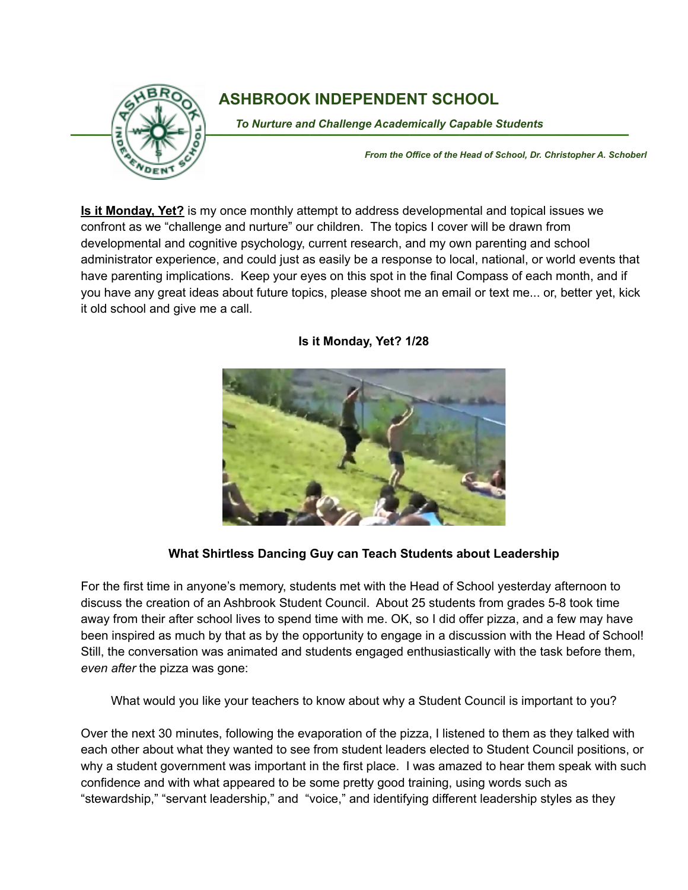

## **ASHBROOK INDEPENDENT SCHOOL**

To Nurture and Challenge Academically Capable Students

*From the Office of the Head of School, Dr. Christopher A. Schoberl*

**Is it Monday, Yet?** is my once monthly attempt to address developmental and topical issues we confront as we "challenge and nurture" our children. The topics I cover will be drawn from developmental and cognitive psychology, current research, and my own parenting and school administrator experience, and could just as easily be a response to local, national, or world events that have parenting implications. Keep your eyes on this spot in the final Compass of each month, and if you have any great ideas about future topics, please shoot me an email or text me... or, better yet, kick it old school and give me a call.

## **Is it Monday, Yet? 1/28**

## **What Shirtless Dancing Guy can Teach Students about Leadership**

For the first time in anyone's memory, students met with the Head of School yesterday afternoon to discuss the creation of an Ashbrook Student Council. About 25 students from grades 5-8 took time away from their after school lives to spend time with me. OK, so I did offer pizza, and a few may have been inspired as much by that as by the opportunity to engage in a discussion with the Head of School! Still, the conversation was animated and students engaged enthusiastically with the task before them, *even after* the pizza was gone:

What would you like your teachers to know about why a Student Council is important to you?

Over the next 30 minutes, following the evaporation of the pizza, I listened to them as they talked with each other about what they wanted to see from student leaders elected to Student Council positions, or why a student government was important in the first place. I was amazed to hear them speak with such confidence and with what appeared to be some pretty good training, using words such as "stewardship," "servant leadership," and "voice," and identifying different leadership styles as they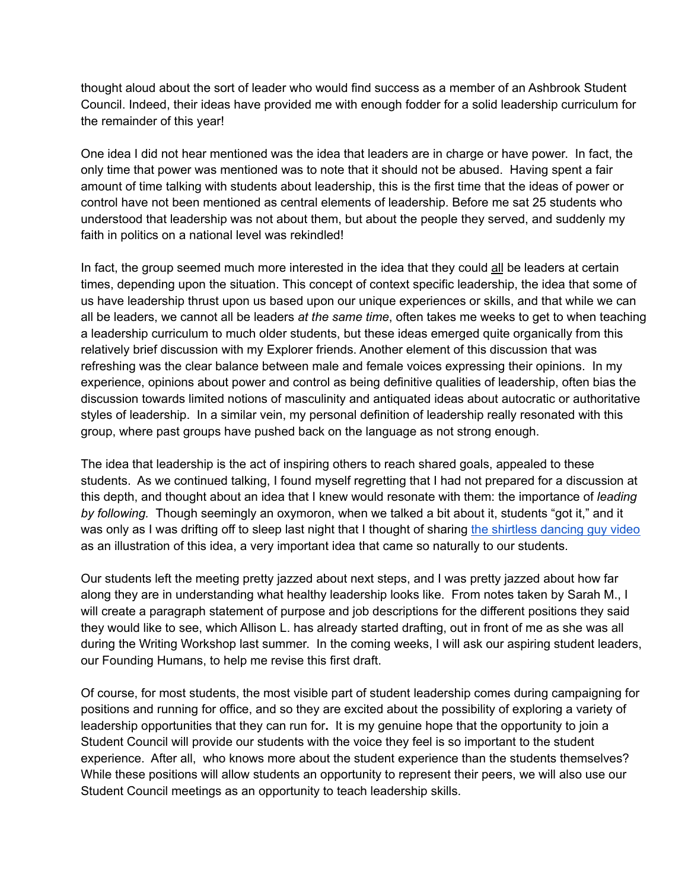thought aloud about the sort of leader who would find success as a member of an Ashbrook Student Council. Indeed, their ideas have provided me with enough fodder for a solid leadership curriculum for the remainder of this year!

One idea I did not hear mentioned was the idea that leaders are in charge or have power. In fact, the only time that power was mentioned was to note that it should not be abused. Having spent a fair amount of time talking with students about leadership, this is the first time that the ideas of power or control have not been mentioned as central elements of leadership. Before me sat 25 students who understood that leadership was not about them, but about the people they served, and suddenly my faith in politics on a national level was rekindled!

In fact, the group seemed much more interested in the idea that they could all be leaders at certain times, depending upon the situation. This concept of context specific leadership, the idea that some of us have leadership thrust upon us based upon our unique experiences or skills, and that while we can all be leaders, we cannot all be leaders *at the same time*, often takes me weeks to get to when teaching a leadership curriculum to much older students, but these ideas emerged quite organically from this relatively brief discussion with my Explorer friends. Another element of this discussion that was refreshing was the clear balance between male and female voices expressing their opinions. In my experience, opinions about power and control as being definitive qualities of leadership, often bias the discussion towards limited notions of masculinity and antiquated ideas about autocratic or authoritative styles of leadership. In a similar vein, my personal definition of leadership really resonated with this group, where past groups have pushed back on the language as not strong enough.

The idea that leadership is the act of inspiring others to reach shared goals, appealed to these students. As we continued talking, I found myself regretting that I had not prepared for a discussion at this depth, and thought about an idea that I knew would resonate with them: the importance of *leading by following.* Though seemingly an oxymoron, when we talked a bit about it, students "got it," and it was only as I was drifting off to sleep last night that I thought of sharing the [shirtless](https://www.youtube.com/watch?v=fW8amMCVAJQ) dancing guy video as an illustration of this idea, a very important idea that came so naturally to our students.

Our students left the meeting pretty jazzed about next steps, and I was pretty jazzed about how far along they are in understanding what healthy leadership looks like. From notes taken by Sarah M., I will create a paragraph statement of purpose and job descriptions for the different positions they said they would like to see, which Allison L. has already started drafting, out in front of me as she was all during the Writing Workshop last summer. In the coming weeks, I will ask our aspiring student leaders, our Founding Humans, to help me revise this first draft.

Of course, for most students, the most visible part of student leadership comes during campaigning for positions and running for office, and so they are excited about the possibility of exploring a variety of leadership opportunities that they can run for**.** It is my genuine hope that the opportunity to join a Student Council will provide our students with the voice they feel is so important to the student experience. After all, who knows more about the student experience than the students themselves? While these positions will allow students an opportunity to represent their peers, we will also use our Student Council meetings as an opportunity to teach leadership skills.